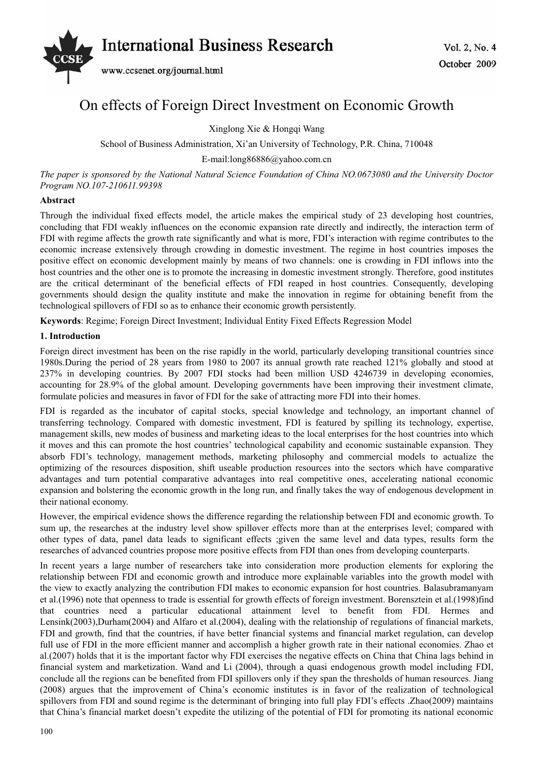

# On effects of Foreign Direct Investment on Economic Growth

Xinglong Xie & Hongqi Wang

School of Business Administration, Xi'an University of Technology, P.R. China, 710048

E-mail:long86886@yahoo.com.cn

*The paper is sponsored by the National Natural Science Foundation of China NO.0673080 and the University Doctor Program NO.107-210611.99398* 

# **Abstract**

Through the individual fixed effects model, the article makes the empirical study of 23 developing host countries, concluding that FDI weakly influences on the economic expansion rate directly and indirectly, the interaction term of FDI with regime affects the growth rate significantly and what is more, FDI's interaction with regime contributes to the economic increase extensively through crowding in domestic investment. The regime in host countries imposes the positive effect on economic development mainly by means of two channels: one is crowding in FDI inflows into the host countries and the other one is to promote the increasing in domestic investment strongly. Therefore, good institutes are the critical determinant of the beneficial effects of FDI reaped in host countries. Consequently, developing governments should design the quality institute and make the innovation in regime for obtaining benefit from the technological spillovers of FDI so as to enhance their economic growth persistently.

**Keywords**: Regime; Foreign Direct Investment; Individual Entity Fixed Effects Regression Model

# **1. Introduction**

Foreign direct investment has been on the rise rapidly in the world, particularly developing transitional countries since 1980s.During the period of 28 years from 1980 to 2007 its annual growth rate reached 121% globally and stood at 237% in developing countries. By 2007 FDI stocks had been million USD 4246739 in developing economies, accounting for 28.9% of the global amount. Developing governments have been improving their investment climate, formulate policies and measures in favor of FDI for the sake of attracting more FDI into their homes.

FDI is regarded as the incubator of capital stocks, special knowledge and technology, an important channel of transferring technology. Compared with domestic investment, FDI is featured by spilling its technology, expertise, management skills, new modes of business and marketing ideas to the local enterprises for the host countries into which it moves and this can promote the host countries' technological capability and economic sustainable expansion. They absorb FDI's technology, management methods, marketing philosophy and commercial models to actualize the optimizing of the resources disposition, shift useable production resources into the sectors which have comparative advantages and turn potential comparative advantages into real competitive ones, accelerating national economic expansion and bolstering the economic growth in the long run, and finally takes the way of endogenous development in their national economy.

However, the empirical evidence shows the difference regarding the relationship between FDI and economic growth. To sum up, the researches at the industry level show spillover effects more than at the enterprises level; compared with other types of data, panel data leads to significant effects ;given the same level and data types, results form the researches of advanced countries propose more positive effects from FDI than ones from developing counterparts.

In recent years a large number of researchers take into consideration more production elements for exploring the relationship between FDI and economic growth and introduce more explainable variables into the growth model with the view to exactly analyzing the contribution FDI makes to economic expansion for host countries. Balasubramanyam et al.(1996) note that openness to trade is essential for growth effects of foreign investment. Borensztein et al.(1998)find that countries need a particular educational attainment level to benefit from FDI. Hermes and Lensink(2003),Durham(2004) and Alfaro et al.(2004), dealing with the relationship of regulations of financial markets, FDI and growth, find that the countries, if have better financial systems and financial market regulation, can develop full use of FDI in the more efficient manner and accomplish a higher growth rate in their national economies. Zhao et al.(2007) holds that it is the important factor why FDI exercises the negative effects on China that China lags behind in financial system and marketization. Wand and Li (2004), through a quasi endogenous growth model including FDI, conclude all the regions can be benefited from FDI spillovers only if they span the thresholds of human resources. Jiang (2008) argues that the improvement of China's economic institutes is in favor of the realization of technological spillovers from FDI and sound regime is the determinant of bringing into full play FDI's effects .Zhao(2009) maintains that China's financial market doesn't expedite the utilizing of the potential of FDI for promoting its national economic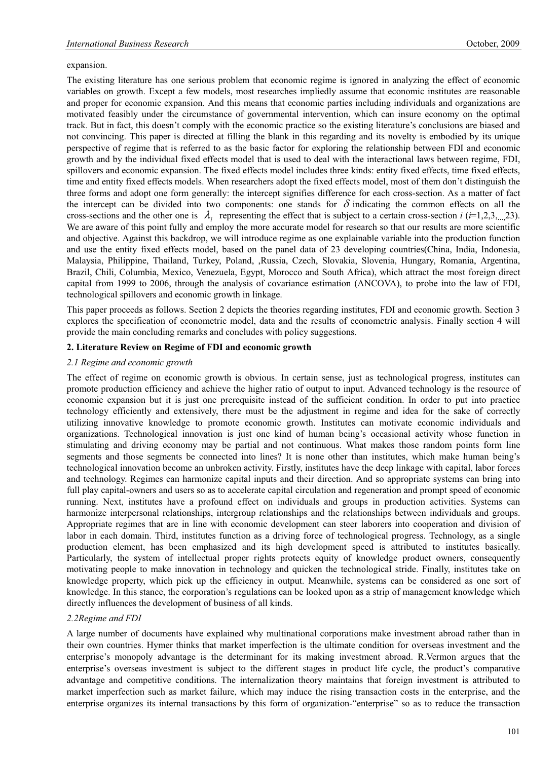#### expansion.

The existing literature has one serious problem that economic regime is ignored in analyzing the effect of economic variables on growth. Except a few models, most researches impliedly assume that economic institutes are reasonable and proper for economic expansion. And this means that economic parties including individuals and organizations are motivated feasibly under the circumstance of governmental intervention, which can insure economy on the optimal track. But in fact, this doesn't comply with the economic practice so the existing literature's conclusions are biased and not convincing. This paper is directed at filling the blank in this regarding and its novelty is embodied by its unique perspective of regime that is referred to as the basic factor for exploring the relationship between FDI and economic growth and by the individual fixed effects model that is used to deal with the interactional laws between regime, FDI, spillovers and economic expansion. The fixed effects model includes three kinds: entity fixed effects, time fixed effects, time and entity fixed effects models. When researchers adopt the fixed effects model, most of them don't distinguish the three forms and adopt one form generally: the intercept signifies difference for each cross-section. As a matter of fact the intercept can be divided into two components: one stands for  $\delta$  indicating the common effects on all the cross-sections and the other one is  $\lambda_i$  representing the effect that is subject to a certain cross-section *i* ( $i=1,2,3,...,23$ ). We are aware of this point fully and employ the more accurate model for research so that our results are more scientific and objective. Against this backdrop, we will introduce regime as one explainable variable into the production function and use the entity fixed effects model, based on the panel data of 23 developing countries(China, India, Indonesia, Malaysia, Philippine, Thailand, Turkey, Poland, ,Russia, Czech, Slovakia, Slovenia, Hungary, Romania, Argentina, Brazil, Chili, Columbia, Mexico, Venezuela, Egypt, Morocco and South Africa), which attract the most foreign direct capital from 1999 to 2006, through the analysis of covariance estimation (ANCOVA), to probe into the law of FDI, technological spillovers and economic growth in linkage.

This paper proceeds as follows. Section 2 depicts the theories regarding institutes, FDI and economic growth. Section 3 explores the specification of econometric model, data and the results of econometric analysis. Finally section 4 will provide the main concluding remarks and concludes with policy suggestions.

### **2. Literature Review on Regime of FDI and economic growth**

#### *2.1 Regime and economic growth*

The effect of regime on economic growth is obvious. In certain sense, just as technological progress, institutes can promote production efficiency and achieve the higher ratio of output to input. Advanced technology is the resource of economic expansion but it is just one prerequisite instead of the sufficient condition. In order to put into practice technology efficiently and extensively, there must be the adjustment in regime and idea for the sake of correctly utilizing innovative knowledge to promote economic growth. Institutes can motivate economic individuals and organizations. Technological innovation is just one kind of human being's occasional activity whose function in stimulating and driving economy may be partial and not continuous. What makes those random points form line segments and those segments be connected into lines? It is none other than institutes, which make human being's technological innovation become an unbroken activity. Firstly, institutes have the deep linkage with capital, labor forces and technology. Regimes can harmonize capital inputs and their direction. And so appropriate systems can bring into full play capital-owners and users so as to accelerate capital circulation and regeneration and prompt speed of economic running. Next, institutes have a profound effect on individuals and groups in production activities. Systems can harmonize interpersonal relationships, intergroup relationships and the relationships between individuals and groups. Appropriate regimes that are in line with economic development can steer laborers into cooperation and division of labor in each domain. Third, institutes function as a driving force of technological progress. Technology, as a single production element, has been emphasized and its high development speed is attributed to institutes basically. Particularly, the system of intellectual proper rights protects equity of knowledge product owners, consequently motivating people to make innovation in technology and quicken the technological stride. Finally, institutes take on knowledge property, which pick up the efficiency in output. Meanwhile, systems can be considered as one sort of knowledge. In this stance, the corporation's regulations can be looked upon as a strip of management knowledge which directly influences the development of business of all kinds.

# *2.2Regime and FDI*

A large number of documents have explained why multinational corporations make investment abroad rather than in their own countries. Hymer thinks that market imperfection is the ultimate condition for overseas investment and the enterprise's monopoly advantage is the determinant for its making investment abroad. R.Vermon argues that the enterprise's overseas investment is subject to the different stages in product life cycle, the product's comparative advantage and competitive conditions. The internalization theory maintains that foreign investment is attributed to market imperfection such as market failure, which may induce the rising transaction costs in the enterprise, and the enterprise organizes its internal transactions by this form of organization-"enterprise" so as to reduce the transaction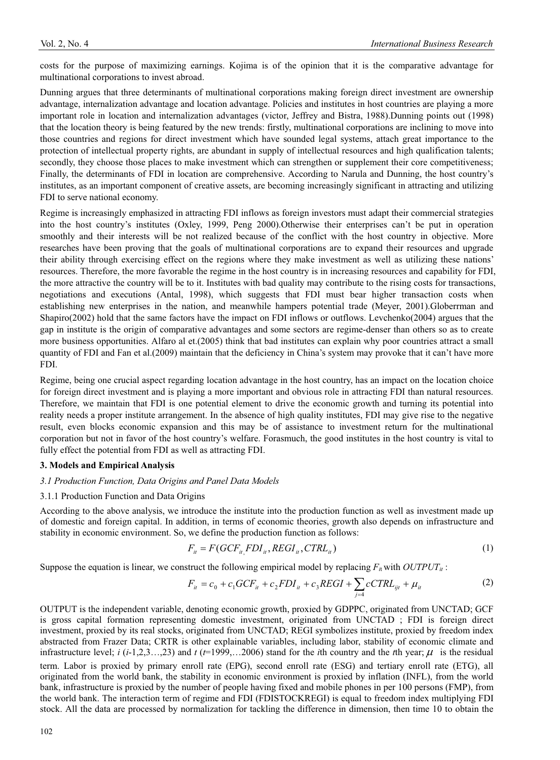costs for the purpose of maximizing earnings. Kojima is of the opinion that it is the comparative advantage for multinational corporations to invest abroad.

Dunning argues that three determinants of multinational corporations making foreign direct investment are ownership advantage, internalization advantage and location advantage. Policies and institutes in host countries are playing a more important role in location and internalization advantages (victor, Jeffrey and Bistra, 1988).Dunning points out (1998) that the location theory is being featured by the new trends: firstly, multinational corporations are inclining to move into those countries and regions for direct investment which have sounded legal systems, attach great importance to the protection of intellectual property rights, are abundant in supply of intellectual resources and high qualification talents; secondly, they choose those places to make investment which can strengthen or supplement their core competitiveness; Finally, the determinants of FDI in location are comprehensive. According to Narula and Dunning, the host country's institutes, as an important component of creative assets, are becoming increasingly significant in attracting and utilizing FDI to serve national economy.

Regime is increasingly emphasized in attracting FDI inflows as foreign investors must adapt their commercial strategies into the host country's institutes (Oxley, 1999, Peng 2000).Otherwise their enterprises can't be put in operation smoothly and their interests will be not realized because of the conflict with the host country in objective. More researches have been proving that the goals of multinational corporations are to expand their resources and upgrade their ability through exercising effect on the regions where they make investment as well as utilizing these nations' resources. Therefore, the more favorable the regime in the host country is in increasing resources and capability for FDI, the more attractive the country will be to it. Institutes with bad quality may contribute to the rising costs for transactions, negotiations and executions (Antal, 1998), which suggests that FDI must bear higher transaction costs when establishing new enterprises in the nation, and meanwhile hampers potential trade (Meyer, 2001).Globerrman and Shapiro(2002) hold that the same factors have the impact on FDI inflows or outflows. Levchenko(2004) argues that the gap in institute is the origin of comparative advantages and some sectors are regime-denser than others so as to create more business opportunities. Alfaro al et.(2005) think that bad institutes can explain why poor countries attract a small quantity of FDI and Fan et al.(2009) maintain that the deficiency in China's system may provoke that it can't have more FDI.

Regime, being one crucial aspect regarding location advantage in the host country, has an impact on the location choice for foreign direct investment and is playing a more important and obvious role in attracting FDI than natural resources. Therefore, we maintain that FDI is one potential element to drive the economic growth and turning its potential into reality needs a proper institute arrangement. In the absence of high quality institutes, FDI may give rise to the negative result, even blocks economic expansion and this may be of assistance to investment return for the multinational corporation but not in favor of the host country's welfare. Forasmuch, the good institutes in the host country is vital to fully effect the potential from FDI as well as attracting FDI.

## **3. Models and Empirical Analysis**

#### *3.1 Production Function, Data Origins and Panel Data Models*

#### 3.1.1 Production Function and Data Origins

According to the above analysis, we introduce the institute into the production function as well as investment made up of domestic and foreign capital. In addition, in terms of economic theories, growth also depends on infrastructure and stability in economic environment. So, we define the production function as follows:

$$
F_{ii} = F(GCF_{ii} \cdot FDI_{ii} \cdot REGI_{ii} \cdot CTRL_{ii}) \tag{1}
$$

Suppose the equation is linear, we construct the following empirical model by replacing  $F_i$  with  $OUTPUT_i$ :

$$
F_{ii} = c_0 + c_1 GCF_{ii} + c_2 FDI_{ii} + c_3 REGI + \sum_{j=4} cCTRL_{ijl} + \mu_{il}
$$
 (2)

OUTPUT is the independent variable, denoting economic growth, proxied by GDPPC, originated from UNCTAD; GCF is gross capital formation representing domestic investment, originated from UNCTAD ; FDI is foreign direct investment, proxied by its real stocks, originated from UNCTAD; REGI symbolizes institute, proxied by freedom index abstracted from Frazer Data; CRTR is other explainable variables, including labor, stability of economic climate and infrastructure level; *i* (*i*-1,2,3…,23) and *t* ( $t=1999,...2006$ ) stand for the *i*th country and the *t*th year;  $\mu$  is the residual term. Labor is proxied by primary enroll rate (EPG), second enroll rate (ESG) and tertiary enroll rate (ETG), all originated from the world bank, the stability in economic environment is proxied by inflation (INFL), from the world bank, infrastructure is proxied by the number of people having fixed and mobile phones in per 100 persons (FMP), from the world bank. The interaction term of regime and FDI (FDISTOCKREGI) is equal to freedom index multiplying FDI stock. All the data are processed by normalization for tackling the difference in dimension, then time 10 to obtain the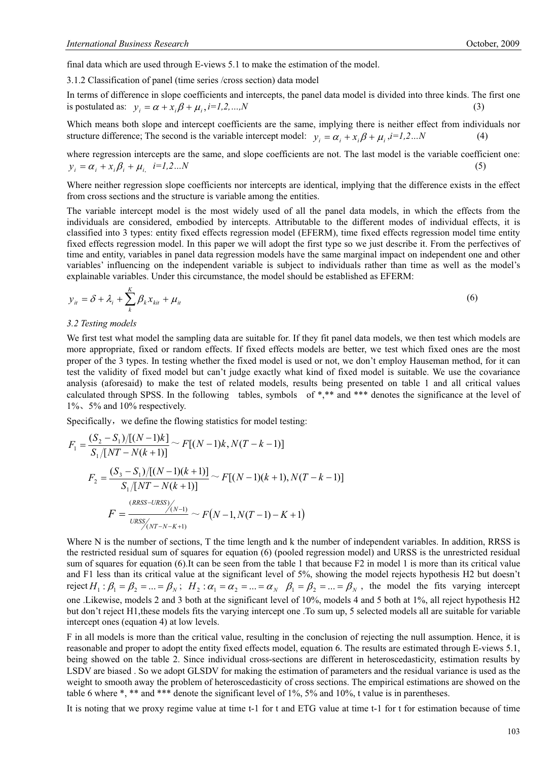final data which are used through E-views 5.1 to make the estimation of the model.

3.1.2 Classification of panel (time series /cross section) data model

In terms of difference in slope coefficients and intercepts, the panel data model is divided into three kinds. The first one is postulated as:  $y_i = \alpha + x_i \beta + \mu_i, i=1,2,...,N$  (3)

Which means both slope and intercept coefficients are the same, implying there is neither effect from individuals nor structure difference; The second is the variable intercept model:  $y_i = \alpha_i + x_i \beta + \mu_i$ ,  $i=1,2...N$  (4)

where regression intercepts are the same, and slope coefficients are not. The last model is the variable coefficient one:  $y_i = \alpha_i + x_i \beta_i + \mu_i$  *i=1,2…N* (5)

Where neither regression slope coefficients nor intercepts are identical, implying that the difference exists in the effect from cross sections and the structure is variable among the entities.

The variable intercept model is the most widely used of all the panel data models, in which the effects from the individuals are considered, embodied by intercepts. Attributable to the different modes of individual effects, it is classified into 3 types: entity fixed effects regression model (EFERM), time fixed effects regression model time entity fixed effects regression model. In this paper we will adopt the first type so we just describe it. From the perfectives of time and entity, variables in panel data regression models have the same marginal impact on independent one and other variables' influencing on the independent variable is subject to individuals rather than time as well as the model's explainable variables. Under this circumstance, the model should be established as EFERM:

$$
y_{ii} = \delta + \lambda_i + \sum_{k}^{K} \beta_k x_{ki} + \mu_{ii}
$$
 (6)

#### *3.2 Testing models*

We first test what model the sampling data are suitable for. If they fit panel data models, we then test which models are more appropriate, fixed or random effects. If fixed effects models are better, we test which fixed ones are the most proper of the 3 types. In testing whether the fixed model is used or not, we don't employ Hauseman method, for it can test the validity of fixed model but can't judge exactly what kind of fixed model is suitable. We use the covariance analysis (aforesaid) to make the test of related models, results being presented on table 1 and all critical values calculated through SPSS. In the following tables, symbols of \*,\*\* and \*\*\* denotes the significance at the level of  $1\%$ , 5% and 10% respectively.

Specifically, we define the flowing statistics for model testing:

$$
F_1 = \frac{(S_2 - S_1)/[(N-1)k]}{S_1/[NT - N(k+1)]} \sim F[(N-1)k, N(T-k-1)]
$$
  
\n
$$
F_2 = \frac{(S_3 - S_1)/[(N-1)(k+1)]}{S_1/[NT - N(k+1)]} \sim F[(N-1)(k+1), N(T-k-1)]
$$
  
\n
$$
F = \frac{(\text{RRSS}-\text{URSS})}{\text{URSS}/(NT-N-K+1)} \sim F(N-1, N(T-1) - K + 1)
$$

Where N is the number of sections, T the time length and k the number of independent variables. In addition, RRSS is the restricted residual sum of squares for equation (6) (pooled regression model) and URSS is the unrestricted residual sum of squares for equation (6).It can be seen from the table 1 that because F2 in model 1 is more than its critical value and F1 less than its critical value at the significant level of 5%, showing the model rejects hypothesis H2 but doesn't reject  $H_1: \beta_1 = \beta_2 = ... = \beta_N$ ;  $H_2: \alpha_1 = \alpha_2 = ... = \alpha_N$   $\beta_1 = \beta_2 = ... = \beta_N$ , the model the fits varying intercept one .Likewise, models 2 and 3 both at the significant level of 10%, models 4 and 5 both at 1%, all reject hypothesis H2 but don't reject H1,these models fits the varying intercept one .To sum up, 5 selected models all are suitable for variable intercept ones (equation 4) at low levels.

F in all models is more than the critical value, resulting in the conclusion of rejecting the null assumption. Hence, it is reasonable and proper to adopt the entity fixed effects model, equation 6. The results are estimated through E-views 5.1, being showed on the table 2. Since individual cross-sections are different in heteroscedasticity, estimation results by LSDV are biased . So we adopt GLSDV for making the estimation of parameters and the residual variance is used as the weight to smooth away the problem of heteroscedasticity of cross sections. The empirical estimations are showed on the table 6 where \*, \*\* and \*\*\* denote the significant level of 1%, 5% and 10%, t value is in parentheses.

It is noting that we proxy regime value at time t-1 for t and ETG value at time t-1 for t for estimation because of time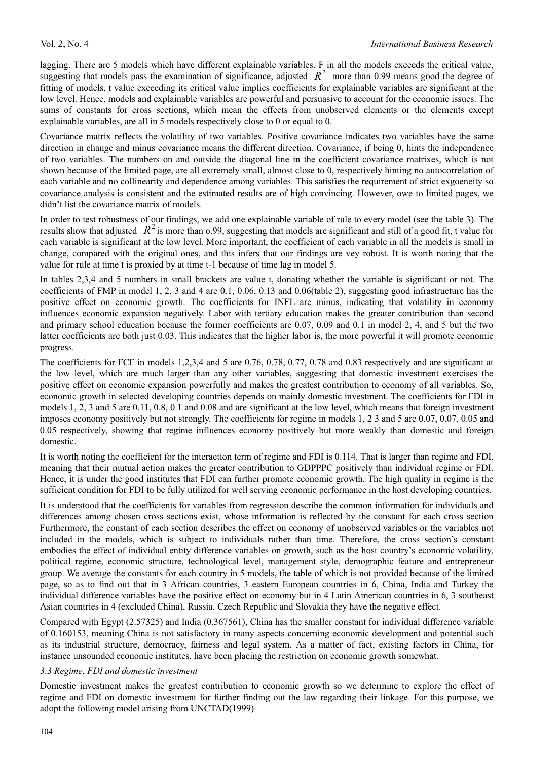lagging. There are 5 models which have different explainable variables. F in all the models exceeds the critical value, suggesting that models pass the examination of significance, adjusted  $R^2$  more than 0.99 means good the degree of fitting of models, t value exceeding its critical value implies coefficients for explainable variables are significant at the low level. Hence, models and explainable variables are powerful and persuasive to account for the economic issues. The sums of constants for cross sections, which mean the effects from unobserved elements or the elements except explainable variables, are all in 5 models respectively close to 0 or equal to 0.

Covariance matrix reflects the volatility of two variables. Positive covariance indicates two variables have the same direction in change and minus covariance means the different direction. Covariance, if being 0, hints the independence of two variables. The numbers on and outside the diagonal line in the coefficient covariance matrixes, which is not shown because of the limited page, are all extremely small, almost close to 0, respectively hinting no autocorrelation of each variable and no collinearity and dependence among variables. This satisfies the requirement of strict exgoeneity so covariance analysis is consistent and the estimated results are of high convincing. However, owe to limited pages, we didn't list the covariance matrix of models.

In order to test robustness of our findings, we add one explainable variable of rule to every model (see the table 3). The results show that adjusted  $R^2$  is more than 0.99, suggesting that models are significant and still of a good fit, t value for each variable is significant at the low level. More important, the coefficient of each variable in all the models is small in change, compared with the original ones, and this infers that our findings are vey robust. It is worth noting that the value for rule at time t is proxied by at time t-1 because of time lag in model 5.

In tables 2,3,4 and 5 numbers in small brackets are value t, donating whether the variable is significant or not. The coefficients of FMP in model 1, 2, 3 and 4 are 0.1, 0.06, 0.13 and 0.06(table 2), suggesting good infrastructure has the positive effect on economic growth. The coefficients for INFL are minus, indicating that volatility in economy influences economic expansion negatively. Labor with tertiary education makes the greater contribution than second and primary school education because the former coefficients are 0.07, 0.09 and 0.1 in model 2, 4, and 5 but the two latter coefficients are both just 0.03. This indicates that the higher labor is, the more powerful it will promote economic progress.

The coefficients for FCF in models 1,2,3,4 and 5 are 0.76, 0.78, 0.77, 0.78 and 0.83 respectively and are significant at the low level, which are much larger than any other variables, suggesting that domestic investment exercises the positive effect on economic expansion powerfully and makes the greatest contribution to economy of all variables. So, economic growth in selected developing countries depends on mainly domestic investment. The coefficients for FDI in models 1, 2, 3 and 5 are 0.11, 0.8, 0.1 and 0.08 and are significant at the low level, which means that foreign investment imposes economy positively but not strongly. The coefficients for regime in models 1, 2 3 and 5 are 0.07, 0.07, 0.05 and 0.05 respectively, showing that regime influences economy positively but more weakly than domestic and foreign domestic.

It is worth noting the coefficient for the interaction term of regime and FDI is 0.114. That is larger than regime and FDI, meaning that their mutual action makes the greater contribution to GDPPPC positively than individual regime or FDI. Hence, it is under the good institutes that FDI can further promote economic growth. The high quality in regime is the sufficient condition for FDI to be fully utilized for well serving economic performance in the host developing countries.

It is understood that the coefficients for variables from regression describe the common information for individuals and differences among chosen cross sections exist, whose information is reflected by the constant for each cross section Furthermore, the constant of each section describes the effect on economy of unobserved variables or the variables not included in the models, which is subject to individuals rather than time. Therefore, the cross section's constant embodies the effect of individual entity difference variables on growth, such as the host country's economic volatility, political regime, economic structure, technological level, management style, demographic feature and entrepreneur group. We average the constants for each country in 5 models, the table of which is not provided because of the limited page, so as to find out that in 3 African countries, 3 eastern European countries in 6, China, India and Turkey the individual difference variables have the positive effect on economy but in 4 Latin American countries in 6, 3 southeast Asian countries in 4 (excluded China), Russia, Czech Republic and Slovakia they have the negative effect.

Compared with Egypt (2.57325) and India (0.367561), China has the smaller constant for individual difference variable of 0.160153, meaning China is not satisfactory in many aspects concerning economic development and potential such as its industrial structure, democracy, fairness and legal system. As a matter of fact, existing factors in China, for instance unsounded economic institutes, have been placing the restriction on economic growth somewhat.

## *3.3 Regime, FDI and domestic investment*

Domestic investment makes the greatest contribution to economic growth so we determine to explore the effect of regime and FDI on domestic investment for further finding out the law regarding their linkage. For this purpose, we adopt the following model arising from UNCTAD(1999)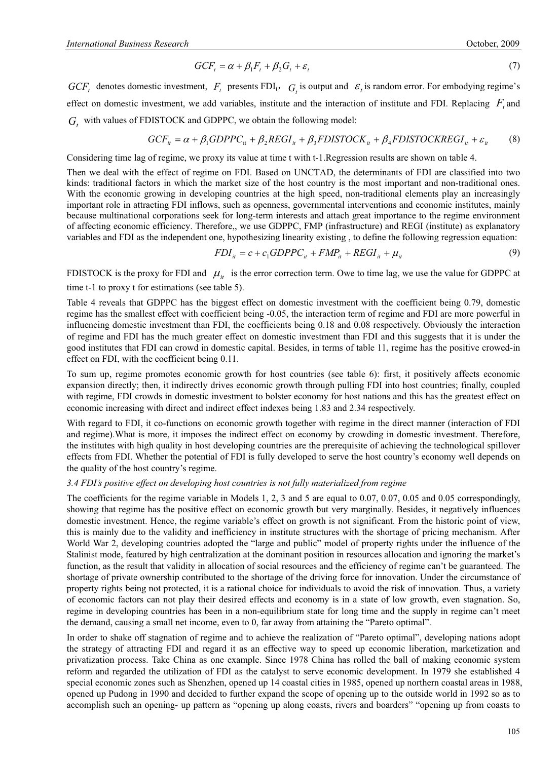$$
GCF_t = \alpha + \beta_1 F_t + \beta_2 G_t + \varepsilon_t \tag{7}
$$

 $GCF_t$  denotes domestic investment,  $F_t$  presents FDI<sub>t</sub>,  $G_t$  is output and  $\varepsilon_t$  is random error. For embodying regime's effect on domestic investment, we add variables, institute and the interaction of institute and FDI. Replacing  $F$ , and *G*<sub>*t*</sub> with values of FDISTOCK and GDPPC, we obtain the following model:

$$
GCF_{it} = \alpha + \beta_1 GDPPC_{it} + \beta_2 REGI_{it} + \beta_3 FDISTOCK_{it} + \beta_4 FDISTOCKREGI_{it} + \varepsilon_{it}
$$
 (8)

Considering time lag of regime, we proxy its value at time t with t-1.Regression results are shown on table 4.

Then we deal with the effect of regime on FDI. Based on UNCTAD, the determinants of FDI are classified into two kinds: traditional factors in which the market size of the host country is the most important and non-traditional ones. With the economic growing in developing countries at the high speed, non-traditional elements play an increasingly important role in attracting FDI inflows, such as openness, governmental interventions and economic institutes, mainly because multinational corporations seek for long-term interests and attach great importance to the regime environment of affecting economic efficiency. Therefore,, we use GDPPC, FMP (infrastructure) and REGI (institute) as explanatory variables and FDI as the independent one, hypothesizing linearity existing , to define the following regression equation:

$$
FDI_{it} = c + c_1 GDPPC_{it} + FMP_{it} + REGI_{it} + \mu_{it}
$$
\n
$$
\tag{9}
$$

FDISTOCK is the proxy for FDI and  $\mu_{it}$  is the error correction term. Owe to time lag, we use the value for GDPPC at time t-1 to proxy t for estimations (see table 5).

Table 4 reveals that GDPPC has the biggest effect on domestic investment with the coefficient being 0.79, domestic regime has the smallest effect with coefficient being -0.05, the interaction term of regime and FDI are more powerful in influencing domestic investment than FDI, the coefficients being 0.18 and 0.08 respectively. Obviously the interaction of regime and FDI has the much greater effect on domestic investment than FDI and this suggests that it is under the good institutes that FDI can crowd in domestic capital. Besides, in terms of table 11, regime has the positive crowed-in effect on FDI, with the coefficient being 0.11.

To sum up, regime promotes economic growth for host countries (see table 6): first, it positively affects economic expansion directly; then, it indirectly drives economic growth through pulling FDI into host countries; finally, coupled with regime, FDI crowds in domestic investment to bolster economy for host nations and this has the greatest effect on economic increasing with direct and indirect effect indexes being 1.83 and 2.34 respectively.

With regard to FDI, it co-functions on economic growth together with regime in the direct manner (interaction of FDI and regime).What is more, it imposes the indirect effect on economy by crowding in domestic investment. Therefore, the institutes with high quality in host developing countries are the prerequisite of achieving the technological spillover effects from FDI. Whether the potential of FDI is fully developed to serve the host country's economy well depends on the quality of the host country's regime.

#### *3.4 FDI's positive effect on developing host countries is not fully materialized from regime*

The coefficients for the regime variable in Models 1, 2, 3 and 5 are equal to 0.07, 0.07, 0.05 and 0.05 correspondingly, showing that regime has the positive effect on economic growth but very marginally. Besides, it negatively influences domestic investment. Hence, the regime variable's effect on growth is not significant. From the historic point of view, this is mainly due to the validity and inefficiency in institute structures with the shortage of pricing mechanism. After World War 2, developing countries adopted the "large and public" model of property rights under the influence of the Stalinist mode, featured by high centralization at the dominant position in resources allocation and ignoring the market's function, as the result that validity in allocation of social resources and the efficiency of regime can't be guaranteed. The shortage of private ownership contributed to the shortage of the driving force for innovation. Under the circumstance of property rights being not protected, it is a rational choice for individuals to avoid the risk of innovation. Thus, a variety of economic factors can not play their desired effects and economy is in a state of low growth, even stagnation. So, regime in developing countries has been in a non-equilibrium state for long time and the supply in regime can't meet the demand, causing a small net income, even to 0, far away from attaining the "Pareto optimal".

In order to shake off stagnation of regime and to achieve the realization of "Pareto optimal", developing nations adopt the strategy of attracting FDI and regard it as an effective way to speed up economic liberation, marketization and privatization process. Take China as one example. Since 1978 China has rolled the ball of making economic system reform and regarded the utilization of FDI as the catalyst to serve economic development. In 1979 she established 4 special economic zones such as Shenzhen, opened up 14 coastal cities in 1985, opened up northern coastal areas in 1988, opened up Pudong in 1990 and decided to further expand the scope of opening up to the outside world in 1992 so as to accomplish such an opening- up pattern as "opening up along coasts, rivers and boarders" "opening up from coasts to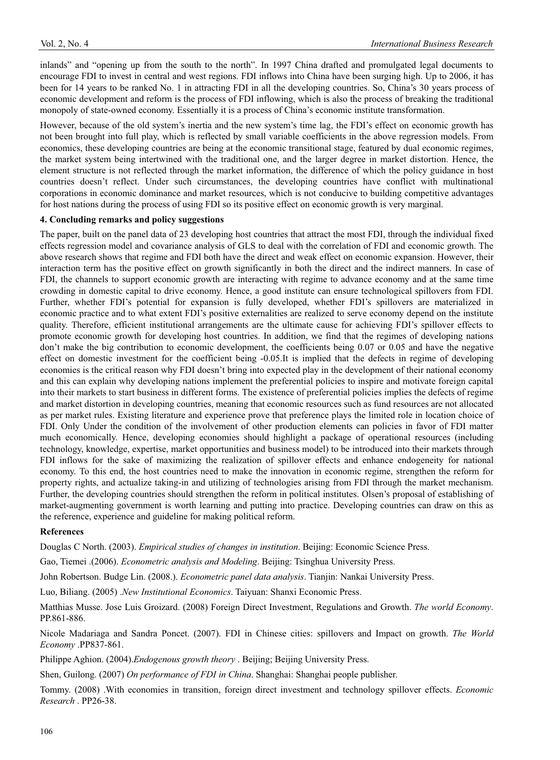inlands" and "opening up from the south to the north". In 1997 China drafted and promulgated legal documents to encourage FDI to invest in central and west regions. FDI inflows into China have been surging high. Up to 2006, it has been for 14 years to be ranked No. 1 in attracting FDI in all the developing countries. So, China's 30 years process of economic development and reform is the process of FDI inflowing, which is also the process of breaking the traditional monopoly of state-owned economy. Essentially it is a process of China's economic institute transformation.

However, because of the old system's inertia and the new system's time lag, the FDI's effect on economic growth has not been brought into full play, which is reflected by small variable coefficients in the above regression models. From economics, these developing countries are being at the economic transitional stage, featured by dual economic regimes, the market system being intertwined with the traditional one, and the larger degree in market distortion. Hence, the element structure is not reflected through the market information, the difference of which the policy guidance in host countries doesn't reflect. Under such circumstances, the developing countries have conflict with multinational corporations in economic dominance and market resources, which is not conducive to building competitive advantages for host nations during the process of using FDI so its positive effect on economic growth is very marginal.

# **4. Concluding remarks and policy suggestions**

The paper, built on the panel data of 23 developing host countries that attract the most FDI, through the individual fixed effects regression model and covariance analysis of GLS to deal with the correlation of FDI and economic growth. The above research shows that regime and FDI both have the direct and weak effect on economic expansion. However, their interaction term has the positive effect on growth significantly in both the direct and the indirect manners. In case of FDI, the channels to support economic growth are interacting with regime to advance economy and at the same time crowding in domestic capital to drive economy. Hence, a good institute can ensure technological spillovers from FDI. Further, whether FDI's potential for expansion is fully developed, whether FDI's spillovers are materialized in economic practice and to what extent FDI's positive externalities are realized to serve economy depend on the institute quality. Therefore, efficient institutional arrangements are the ultimate cause for achieving FDI's spillover effects to promote economic growth for developing host countries. In addition, we find that the regimes of developing nations don't make the big contribution to economic development, the coefficients being 0.07 or 0.05 and have the negative effect on domestic investment for the coefficient being -0.05.It is implied that the defects in regime of developing economies is the critical reason why FDI doesn't bring into expected play in the development of their national economy and this can explain why developing nations implement the preferential policies to inspire and motivate foreign capital into their markets to start business in different forms. The existence of preferential policies implies the defects of regime and market distortion in developing countries, meaning that economic resources such as fund resources are not allocated as per market rules. Existing literature and experience prove that preference plays the limited role in location choice of FDI. Only Under the condition of the involvement of other production elements can policies in favor of FDI matter much economically. Hence, developing economies should highlight a package of operational resources (including technology, knowledge, expertise, market opportunities and business model) to be introduced into their markets through FDI inflows for the sake of maximizing the realization of spillover effects and enhance endogeneity for national economy. To this end, the host countries need to make the innovation in economic regime, strengthen the reform for property rights, and actualize taking-in and utilizing of technologies arising from FDI through the market mechanism. Further, the developing countries should strengthen the reform in political institutes. Olsen's proposal of establishing of market-augmenting government is worth learning and putting into practice. Developing countries can draw on this as the reference, experience and guideline for making political reform.

## **References**

Douglas C North. (2003). *Empirical studies of changes in institution*. Beijing: Economic Science Press.

Gao, Tiemei .(2006). *Econometric analysis and Modeling*. Beijing: Tsinghua University Press.

John Robertson. Budge Lin. (2008.). *Econometric panel data analysis*. Tianjin: Nankai University Press.

Luo, Biliang. (2005) .*New Institutional Economics*. Taiyuan: Shanxi Economic Press.

Matthias Musse. Jose Luis Groizard. (2008) Foreign Direct Investment, Regulations and Growth. *The world Economy*. PP.861-886.

Nicole Madariaga and Sandra Poncet. (2007). FDI in Chinese cities: spillovers and Impact on growth. *The World Economy* .PP837-861.

Philippe Aghion. (2004).*Endogenous growth theory* . Beijing; Beijing University Press.

Shen, Guilong. (2007) *On performance of FDI in China*. Shanghai: Shanghai people publisher.

Tommy. (2008) .With economies in transition, foreign direct investment and technology spillover effects. *Economic Research* . PP26-38.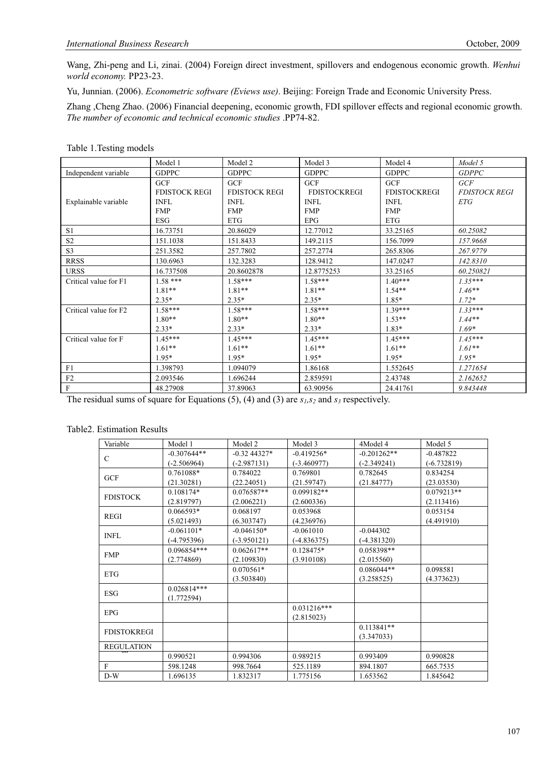Wang, Zhi-peng and Li, zinai. (2004) Foreign direct investment, spillovers and endogenous economic growth. *Wenhui world economy.* PP23-23.

Yu, Junnian. (2006). *Econometric software (Eviews use)*. Beijing: Foreign Trade and Economic University Press.

Zhang ,Cheng Zhao. (2006) Financial deepening, economic growth, FDI spillover effects and regional economic growth. *The number of economic and technical economic studies* .PP74-82.

# Table 1.Testing models

|                       | Model 1              | Model 2              | Model 3             | Model 4             | Model 5              |
|-----------------------|----------------------|----------------------|---------------------|---------------------|----------------------|
| Independent variable  | <b>GDPPC</b>         | <b>GDPPC</b>         | <b>GDPPC</b>        | <b>GDPPC</b>        | <b>GDPPC</b>         |
|                       | GCF                  | <b>GCF</b>           | GCF                 | GCF                 | <b>GCF</b>           |
|                       | <b>FDISTOCK REGI</b> | <b>FDISTOCK REGI</b> | <b>FDISTOCKREGI</b> | <b>FDISTOCKREGI</b> | <b>FDISTOCK REGI</b> |
| Explainable variable  | <b>INFL</b>          | <b>INFL</b>          | <b>INFL</b>         | <b>INFL</b>         | <i>ETG</i>           |
|                       | <b>FMP</b>           | <b>FMP</b>           | <b>FMP</b>          | <b>FMP</b>          |                      |
|                       | <b>ESG</b>           | <b>ETG</b>           | EPG                 | <b>ETG</b>          |                      |
| S <sub>1</sub>        | 16.73751             | 20.86029             | 12.77012            | 33.25165            | 60.25082             |
| S <sub>2</sub>        | 151.1038             | 151.8433             | 149.2115            | 156.7099            | 157.9668             |
| S <sub>3</sub>        | 251.3582             | 257.7802             | 257.2774            | 265.8306            | 267,9779             |
| <b>RRSS</b>           | 130.6963             | 132.3283             | 128.9412            | 147.0247            | 142.8310             |
| <b>URSS</b>           | 16.737508            | 20.8602878           | 12.8775253          | 33.25165            | 60.250821            |
| Critical value for F1 | $1.58***$            | 1.58***              | 1.58***             | $1.40***$           | $1.35***$            |
|                       | $1.81**$             | $1.81**$             | $1.81**$            | $1.54**$            | $1.46**$             |
|                       | $2.35*$              | $2.35*$              | $2.35*$             | $1.85*$             | $1.72*$              |
| Critical value for F2 | $1.58***$            | $1.58***$            | $1.58***$           | $1.39***$           | $1.33***$            |
|                       | $1.80**$             | $1.80**$             | $1.80**$            | $1.53**$            | $1.44**$             |
|                       | $2.33*$              | $2.33*$              | $2.33*$             | $1.83*$             | $1.69*$              |
| Critical value for F  | $1.45***$            | $1.45***$            | $1.45***$           | $1.45***$           | $1.45***$            |
|                       | $1.61**$             | $1.61**$             | $1.61**$            | $1.61**$            | $1.61**$             |
|                       | $1.95*$              | $1.95*$              | $1.95*$             | $1.95*$             | $1.95*$              |
| F1                    | 1.398793             | 1.094079             | 1.86168             | 1.552645            | 1.271654             |
| F <sub>2</sub>        | 2.093546             | 1.696244             | 2.859591            | 2.43748             | 2.162652             |
| $\mathbf F$           | 48.27908             | 37.89063             | 63.90956            | 24.41761            | 9.843448             |

The residual sums of square for Equations  $(5)$ ,  $(4)$  and  $(3)$  are  $s<sub>1</sub>, s<sub>2</sub>$  and  $s<sub>3</sub>$  respectively.

# Table2. Estimation Results

| Variable           | Model 1       | Model 2       | Model 3       | 4Model 4      | Model 5       |
|--------------------|---------------|---------------|---------------|---------------|---------------|
| C                  | $-0.307644**$ | $-0.3244327*$ | $-0.419256*$  | $-0.201262**$ | $-0.487822$   |
|                    | $(-2.506964)$ | $(-2.987131)$ | $(-3.460977)$ | (-2.349241)   | $(-6.732819)$ |
|                    | 0.761088*     | 0.784022      | 0.769801      | 0.782645      | 0.834254      |
| <b>GCF</b>         | (21.30281)    | (22.24051)    | (21.59747)    | (21.84777)    | (23.03530)    |
| <b>FDISTOCK</b>    | 0.108174*     | $0.076587**$  | $0.099182**$  |               | $0.079213**$  |
|                    | (2.819797)    | (2.006221)    | (2.600336)    |               | (2.113416)    |
| <b>REGI</b>        | $0.066593*$   | 0.068197      | 0.053968      |               | 0.053154      |
|                    | (5.021493)    | (6.303747)    | (4.236976)    |               | (4.491910)    |
| <b>INFL</b>        | $-0.061101*$  | $-0.046150*$  | $-0.061010$   | $-0.044302$   |               |
|                    | (-4.795396)   | $(-3.950121)$ | $(-4.836375)$ | $(-4.381320)$ |               |
| <b>FMP</b>         | 0.096854***   | $0.062617**$  | $0.128475*$   | 0.058398**    |               |
|                    | (2.774869)    | (2.109830)    | (3.910108)    | (2.015560)    |               |
|                    |               | $0.070561*$   |               | 0.086044**    | 0.098581      |
| <b>ETG</b>         |               | (3.503840)    |               | (3.258525)    | (4.373623)    |
| <b>ESG</b>         | $0.026814***$ |               |               |               |               |
|                    | (1.772594)    |               |               |               |               |
| EPG                |               |               | $0.031216***$ |               |               |
|                    |               |               | (2.815023)    |               |               |
| <b>FDISTOKREGI</b> |               |               |               | $0.113841**$  |               |
|                    |               |               |               | (3.347033)    |               |
| <b>REGULATION</b>  |               |               |               |               |               |
|                    | 0.990521      | 0.994306      | 0.989215      | 0.993409      | 0.990828      |
| F                  | 598.1248      | 998.7664      | 525.1189      | 894.1807      | 665.7535      |
| $D-W$              | 1.696135      | 1.832317      | 1.775156      | 1.653562      | 1.845642      |